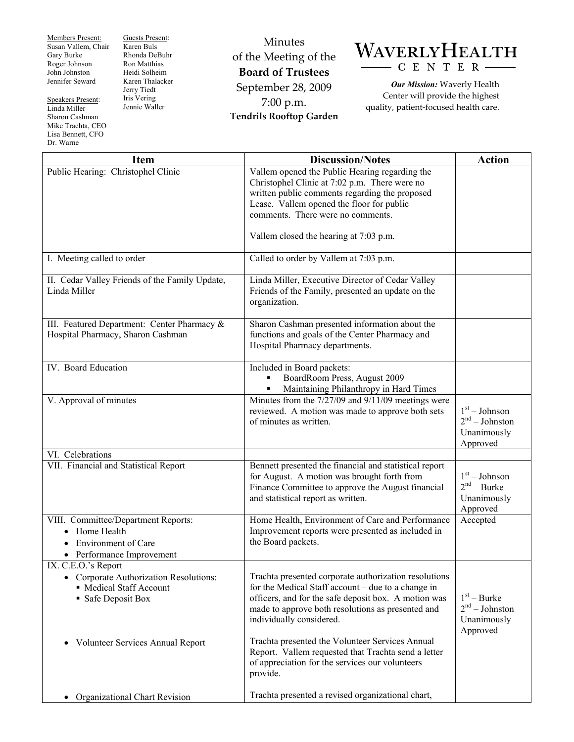Members Present: Susan Vallem, Chair Gary Burke Roger Johnson John Johnston Jennifer Seward

Speakers Present: Linda Miller Sharon Cashman Mike Trachta, CEO Lisa Bennett, CFO Dr. Warne

Guests Present: Karen Buls Rhonda DeBuhr Ron Matthias Heidi Solheim Karen Thalacker Jerry Tiedt Iris Vering Jennie Waller

Minutes of the Meeting of the **Board of Trustees**  September 28, 2009 7:00 p.m. **Tendrils Rooftop Garden** 



*Our Mission:* Waverly Health Center will provide the highest quality, patient-focused health care.

| <b>Item</b>                                                                                                                | <b>Discussion/Notes</b>                                                                                                                                                                                                                              | <b>Action</b>                                                  |
|----------------------------------------------------------------------------------------------------------------------------|------------------------------------------------------------------------------------------------------------------------------------------------------------------------------------------------------------------------------------------------------|----------------------------------------------------------------|
| Public Hearing: Christophel Clinic                                                                                         | Vallem opened the Public Hearing regarding the                                                                                                                                                                                                       |                                                                |
|                                                                                                                            | Christophel Clinic at 7:02 p.m. There were no                                                                                                                                                                                                        |                                                                |
|                                                                                                                            | written public comments regarding the proposed<br>Lease. Vallem opened the floor for public                                                                                                                                                          |                                                                |
|                                                                                                                            | comments. There were no comments.                                                                                                                                                                                                                    |                                                                |
|                                                                                                                            |                                                                                                                                                                                                                                                      |                                                                |
|                                                                                                                            | Vallem closed the hearing at 7:03 p.m.                                                                                                                                                                                                               |                                                                |
| I. Meeting called to order                                                                                                 | Called to order by Vallem at 7:03 p.m.                                                                                                                                                                                                               |                                                                |
| II. Cedar Valley Friends of the Family Update,<br>Linda Miller                                                             | Linda Miller, Executive Director of Cedar Valley<br>Friends of the Family, presented an update on the<br>organization.                                                                                                                               |                                                                |
| III. Featured Department: Center Pharmacy &<br>Hospital Pharmacy, Sharon Cashman                                           | Sharon Cashman presented information about the<br>functions and goals of the Center Pharmacy and<br>Hospital Pharmacy departments.                                                                                                                   |                                                                |
| IV. Board Education                                                                                                        | Included in Board packets:<br>BoardRoom Press, August 2009<br>Maintaining Philanthropy in Hard Times                                                                                                                                                 |                                                                |
| V. Approval of minutes                                                                                                     | Minutes from the 7/27/09 and 9/11/09 meetings were<br>reviewed. A motion was made to approve both sets<br>of minutes as written.                                                                                                                     | $1st - Johnson$<br>$2nd - Johnston$<br>Unanimously<br>Approved |
| VI. Celebrations                                                                                                           |                                                                                                                                                                                                                                                      |                                                                |
| VII. Financial and Statistical Report                                                                                      | Bennett presented the financial and statistical report<br>for August. A motion was brought forth from<br>Finance Committee to approve the August financial<br>and statistical report as written.                                                     | $1st - Johnson$<br>$2nd - Burke$<br>Unanimously<br>Approved    |
| VIII. Committee/Department Reports:<br>Home Health<br>$\bullet$<br><b>Environment of Care</b><br>• Performance Improvement | Home Health, Environment of Care and Performance<br>Improvement reports were presented as included in<br>the Board packets.                                                                                                                          | Accepted                                                       |
| IX. C.E.O.'s Report                                                                                                        |                                                                                                                                                                                                                                                      |                                                                |
| Corporate Authorization Resolutions:<br>• Medical Staff Account<br>• Safe Deposit Box                                      | Trachta presented corporate authorization resolutions<br>for the Medical Staff account – due to a change in<br>officers, and for the safe deposit box. A motion was<br>made to approve both resolutions as presented and<br>individually considered. | $1st - Burke$<br>$2nd - Johnston$<br>Unanimously<br>Approved   |
| Volunteer Services Annual Report<br>$\bullet$                                                                              | Trachta presented the Volunteer Services Annual<br>Report. Vallem requested that Trachta send a letter<br>of appreciation for the services our volunteers<br>provide.                                                                                |                                                                |
| Organizational Chart Revision<br>$\bullet$                                                                                 | Trachta presented a revised organizational chart,                                                                                                                                                                                                    |                                                                |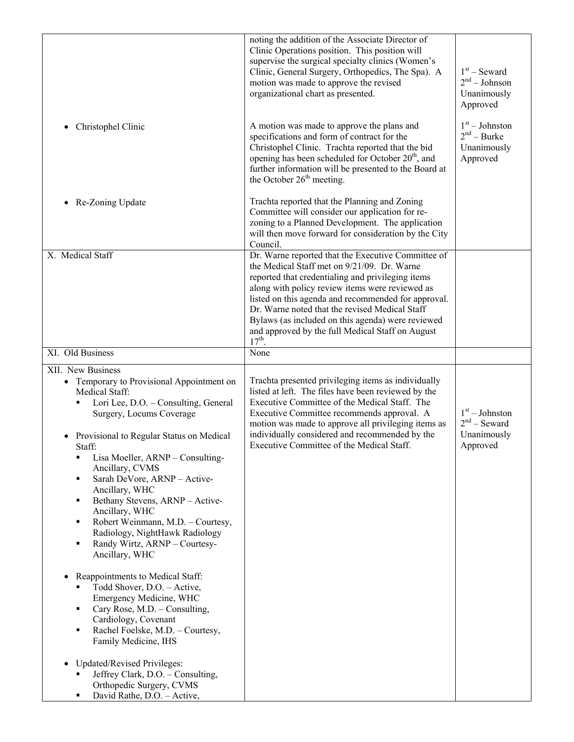| Christophel Clinic                                                                                                                                                                                                                                                                                                                                                                                                                                                                                                                                                                                                                                                                                                                                                              | noting the addition of the Associate Director of<br>Clinic Operations position. This position will<br>supervise the surgical specialty clinics (Women's<br>Clinic, General Surgery, Orthopedics, The Spa). A<br>motion was made to approve the revised<br>organizational chart as presented.<br>A motion was made to approve the plans and<br>specifications and form of contract for the<br>Christophel Clinic. Trachta reported that the bid<br>opening has been scheduled for October 20 <sup>th</sup> , and<br>further information will be presented to the Board at<br>the October 26 <sup>th</sup> meeting. | $1st$ – Seward<br>$2nd - Johnson$<br>Unanimously<br>Approved<br>$1st - Johnston$<br>$2nd - Burke$<br>Unanimously<br>Approved |
|---------------------------------------------------------------------------------------------------------------------------------------------------------------------------------------------------------------------------------------------------------------------------------------------------------------------------------------------------------------------------------------------------------------------------------------------------------------------------------------------------------------------------------------------------------------------------------------------------------------------------------------------------------------------------------------------------------------------------------------------------------------------------------|-------------------------------------------------------------------------------------------------------------------------------------------------------------------------------------------------------------------------------------------------------------------------------------------------------------------------------------------------------------------------------------------------------------------------------------------------------------------------------------------------------------------------------------------------------------------------------------------------------------------|------------------------------------------------------------------------------------------------------------------------------|
| Re-Zoning Update                                                                                                                                                                                                                                                                                                                                                                                                                                                                                                                                                                                                                                                                                                                                                                | Trachta reported that the Planning and Zoning<br>Committee will consider our application for re-<br>zoning to a Planned Development. The application<br>will then move forward for consideration by the City<br>Council.                                                                                                                                                                                                                                                                                                                                                                                          |                                                                                                                              |
| X. Medical Staff                                                                                                                                                                                                                                                                                                                                                                                                                                                                                                                                                                                                                                                                                                                                                                | Dr. Warne reported that the Executive Committee of<br>the Medical Staff met on 9/21/09. Dr. Warne<br>reported that credentialing and privileging items<br>along with policy review items were reviewed as<br>listed on this agenda and recommended for approval.<br>Dr. Warne noted that the revised Medical Staff<br>Bylaws (as included on this agenda) were reviewed<br>and approved by the full Medical Staff on August<br>$17th$ .                                                                                                                                                                           |                                                                                                                              |
| XI. Old Business                                                                                                                                                                                                                                                                                                                                                                                                                                                                                                                                                                                                                                                                                                                                                                | None                                                                                                                                                                                                                                                                                                                                                                                                                                                                                                                                                                                                              |                                                                                                                              |
| XII. New Business<br>• Temporary to Provisional Appointment on<br>Medical Staff:<br>Lori Lee, D.O. - Consulting, General<br>Surgery, Locums Coverage<br>Provisional to Regular Status on Medical<br>Staff:<br>Lisa Moeller, ARNP - Consulting-<br>Ancillary, CVMS<br>Sarah DeVore, ARNP - Active-<br>Ancillary, WHC<br>Bethany Stevens, ARNP - Active-<br>٠<br>Ancillary, WHC<br>Robert Weinmann, M.D. - Courtesy,<br>٠<br>Radiology, NightHawk Radiology<br>Randy Wirtz, ARNP - Courtesy-<br>Ancillary, WHC<br>Reappointments to Medical Staff:<br>Todd Shover, D.O. - Active,<br>Emergency Medicine, WHC<br>Cary Rose, M.D. - Consulting,<br>٠<br>Cardiology, Covenant<br>Rachel Foelske, M.D. - Courtesy,<br>٠<br>Family Medicine, IHS<br><b>Updated/Revised Privileges:</b> | Trachta presented privileging items as individually<br>listed at left. The files have been reviewed by the<br>Executive Committee of the Medical Staff. The<br>Executive Committee recommends approval. A<br>motion was made to approve all privileging items as<br>individually considered and recommended by the<br>Executive Committee of the Medical Staff.                                                                                                                                                                                                                                                   | $1st - Johnston$<br>$2nd$ – Seward<br>Unanimously<br>Approved                                                                |
| Jeffrey Clark, D.O. - Consulting,<br>Orthopedic Surgery, CVMS<br>David Rathe, D.O. - Active,                                                                                                                                                                                                                                                                                                                                                                                                                                                                                                                                                                                                                                                                                    |                                                                                                                                                                                                                                                                                                                                                                                                                                                                                                                                                                                                                   |                                                                                                                              |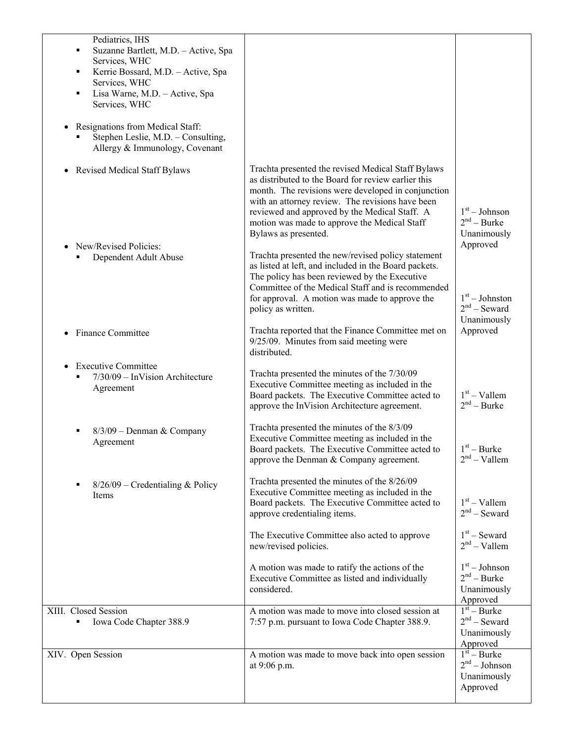| Pediatrics, IHS<br>Suzanne Bartlett, M.D. - Active, Spa<br>Services, WHC<br>Kerrie Bossard, M.D. - Active, Spa<br>Services, WHC<br>Lisa Warne, M.D. - Active, Spa<br>٠<br>Services, WHC<br>Resignations from Medical Staff:<br>Stephen Leslie, M.D. - Consulting,<br>Allergy & Immunology, Covenant |                                                                                                                                                                                                                                                                                                                                                                                                                                                                                                                                                                                                                                           |                                                                                                   |
|-----------------------------------------------------------------------------------------------------------------------------------------------------------------------------------------------------------------------------------------------------------------------------------------------------|-------------------------------------------------------------------------------------------------------------------------------------------------------------------------------------------------------------------------------------------------------------------------------------------------------------------------------------------------------------------------------------------------------------------------------------------------------------------------------------------------------------------------------------------------------------------------------------------------------------------------------------------|---------------------------------------------------------------------------------------------------|
| <b>Revised Medical Staff Bylaws</b><br>$\bullet$<br>New/Revised Policies:<br>Dependent Adult Abuse                                                                                                                                                                                                  | Trachta presented the revised Medical Staff Bylaws<br>as distributed to the Board for review earlier this<br>month. The revisions were developed in conjunction<br>with an attorney review. The revisions have been<br>reviewed and approved by the Medical Staff. A<br>motion was made to approve the Medical Staff<br>Bylaws as presented.<br>Trachta presented the new/revised policy statement<br>as listed at left, and included in the Board packets.<br>The policy has been reviewed by the Executive<br>Committee of the Medical Staff and is recommended<br>for approval. A motion was made to approve the<br>policy as written. | $1st - Johnson$<br>$2nd - Burke$<br>Unanimously<br>Approved<br>$1st - Johnston$<br>$2nd$ – Seward |
| Finance Committee                                                                                                                                                                                                                                                                                   | Trachta reported that the Finance Committee met on<br>9/25/09. Minutes from said meeting were<br>distributed.                                                                                                                                                                                                                                                                                                                                                                                                                                                                                                                             | Unanimously<br>Approved                                                                           |
| <b>Executive Committee</b><br>$7/30/09$ – InVision Architecture<br>Agreement                                                                                                                                                                                                                        | Trachta presented the minutes of the 7/30/09<br>Executive Committee meeting as included in the<br>Board packets. The Executive Committee acted to<br>approve the InVision Architecture agreement.                                                                                                                                                                                                                                                                                                                                                                                                                                         | $1st -$ Vallem<br>$2nd$ – Burke                                                                   |
| $8/3/09$ – Denman & Company<br>Agreement                                                                                                                                                                                                                                                            | Trachta presented the minutes of the 8/3/09<br>Executive Committee meeting as included in the<br>Board packets. The Executive Committee acted to<br>approve the Denman & Company agreement.                                                                                                                                                                                                                                                                                                                                                                                                                                               | $1st - Burke$<br>$2nd - Vallem$                                                                   |
| $8/26/09$ – Credentialing & Policy<br><b>Items</b>                                                                                                                                                                                                                                                  | Trachta presented the minutes of the 8/26/09<br>Executive Committee meeting as included in the<br>Board packets. The Executive Committee acted to<br>approve credentialing items.                                                                                                                                                                                                                                                                                                                                                                                                                                                         | $1st -$ Vallem<br>$2nd$ – Seward                                                                  |
|                                                                                                                                                                                                                                                                                                     | The Executive Committee also acted to approve<br>new/revised policies.                                                                                                                                                                                                                                                                                                                                                                                                                                                                                                                                                                    | $1st$ – Seward<br>$2nd - Vallem$                                                                  |
|                                                                                                                                                                                                                                                                                                     | A motion was made to ratify the actions of the<br>Executive Committee as listed and individually<br>considered.                                                                                                                                                                                                                                                                                                                                                                                                                                                                                                                           | $1st - Johnson$<br>$2nd - Burke$<br>Unanimously<br>Approved                                       |
| XIII. Closed Session<br>Iowa Code Chapter 388.9                                                                                                                                                                                                                                                     | A motion was made to move into closed session at<br>7:57 p.m. pursuant to Iowa Code Chapter 388.9.                                                                                                                                                                                                                                                                                                                                                                                                                                                                                                                                        | $1st - Burke$<br>$2nd$ – Seward<br>Unanimously<br>Approved                                        |
| XIV. Open Session                                                                                                                                                                                                                                                                                   | A motion was made to move back into open session<br>at 9:06 p.m.                                                                                                                                                                                                                                                                                                                                                                                                                                                                                                                                                                          | $1st - Burke$<br>$2nd - Johnson$<br>Unanimously<br>Approved                                       |